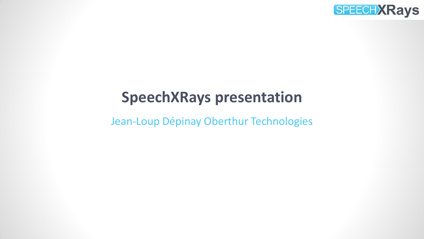

## **SpeechXRays presentation**

Jean-Loup Dépinay Oberthur Technologies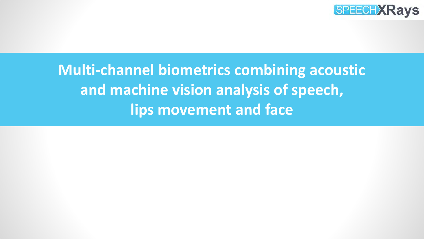

# **Multi-channel biometrics combining acoustic and machine vision analysis of speech, lips movement and face**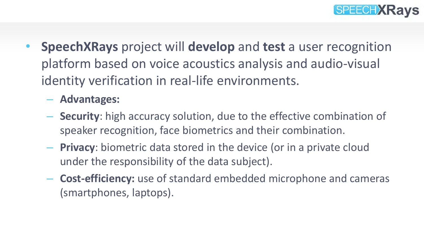

- **SpeechXRays** project will **develop** and **test** a user recognition platform based on voice acoustics analysis and audio-visual identity verification in real-life environments.
	- **Advantages:**
	- **Security**: high accuracy solution, due to the effective combination of speaker recognition, face biometrics and their combination.
	- **Privacy**: biometric data stored in the device (or in a private cloud under the responsibility of the data subject).
	- **Cost-efficiency:** use of standard embedded microphone and cameras (smartphones, laptops).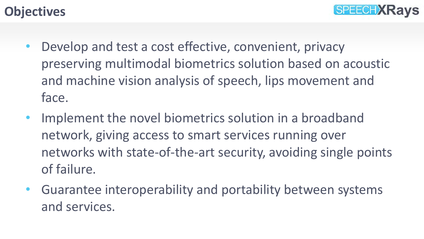#### **Objectives**



- Develop and test a cost effective, convenient, privacy preserving multimodal biometrics solution based on acoustic and machine vision analysis of speech, lips movement and face.
- Implement the novel biometrics solution in a broadband network, giving access to smart services running over networks with state-of-the-art security, avoiding single points of failure.
- Guarantee interoperability and portability between systems and services.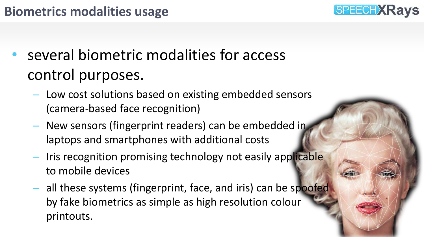## **Biometrics modalities usage**

- several biometric modalities for access control purposes.
	- Low cost solutions based on existing embedded sensors (camera-based face recognition)

**SPEECH XRays** 

- New sensors (fingerprint readers) can be embedded in laptops and smartphones with additional costs
- Iris recognition promising technology not easily applicable to mobile devices
- all these systems (fingerprint, face, and iris) can be spoofed by fake biometrics as simple as high resolution colour printouts.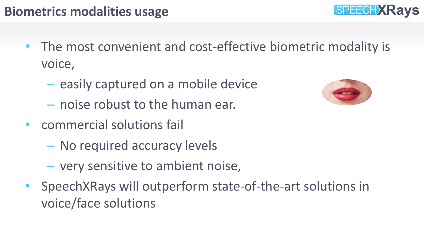## **Biometrics modalities usage**

- The most convenient and cost-effective biometric modality is voice,
	- easily captured on a mobile device
	- noise robust to the human ear.
- commercial solutions fail
	- No required accuracy levels
	- very sensitive to ambient noise,
- SpeechXRays will outperform state-of-the-art solutions in voice/face solutions



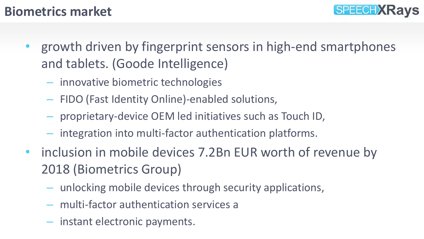

#### **Biometrics market**

- growth driven by fingerprint sensors in high-end smartphones and tablets. (Goode Intelligence)
	- innovative biometric technologies
	- FIDO (Fast Identity Online)-enabled solutions,
	- proprietary-device OEM led initiatives such as Touch ID,
	- integration into multi-factor authentication platforms.
- inclusion in mobile devices 7.2Bn EUR worth of revenue by 2018 (Biometrics Group)
	- unlocking mobile devices through security applications,
	- multi-factor authentication services a
	- instant electronic payments.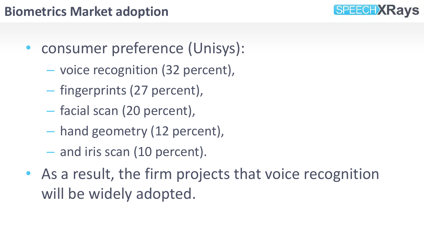## **Biometrics Market adoption**

- consumer preference (Unisys):
	- voice recognition (32 percent),
	- fingerprints (27 percent),
	- facial scan (20 percent),
	- hand geometry (12 percent),
	- and iris scan (10 percent).
- As a result, the firm projects that voice recognition will be widely adopted.

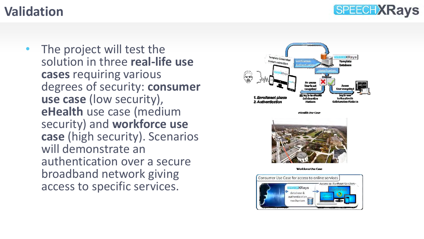### **SPEECH XRays**

#### **Validation**

The project will test the solution in three **real-life use cases** requiring various degrees of security: **consumer use case** (low security), **eHealth** use case (medium security) and **workforce use case** (high security). Scenarios will demonstrate an authentication over a secure broadband network giving access to specific services.



eHealth He Case



Workforre Hse Case

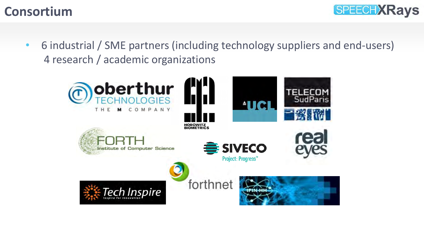



• 6 industrial / SME partners (including technology suppliers and end-users) 4 research / academic organizations